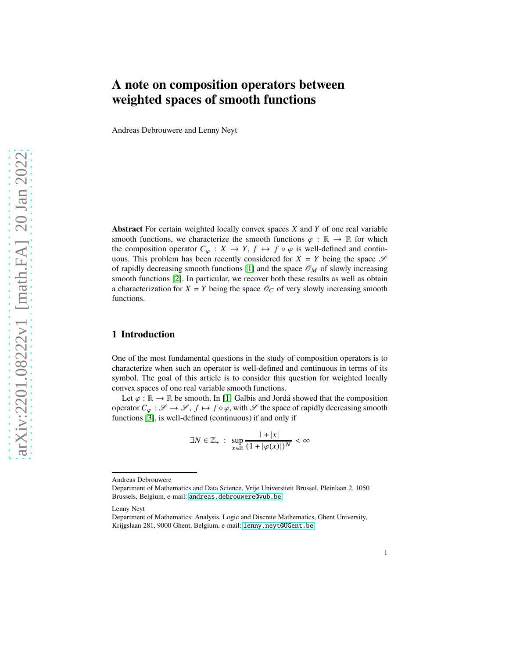# **A note on composition operators between weighted spaces of smooth functions**

Andreas Debrouwere and Lenny Neyt

**Abstract** For certain weighted locally convex spaces  $X$  and  $Y$  of one real variable smooth functions, we characterize the smooth functions  $\varphi : \mathbb{R} \to \mathbb{R}$  for which the composition operator  $C_{\varphi}: X \to Y, f \mapsto f \circ \varphi$  is well-defined and continuous. This problem has been recently considered for  $X = Y$  being the space  $\mathscr S$ of rapidly decreasing smooth functions [\[1\]](#page-8-0) and the space  $\mathscr{O}_M$  of slowly increasing smooth functions [\[2\]](#page-8-1). In particular, we recover both these results as well as obtain a characterization for  $X = Y$  being the space  $\mathcal{O}_C$  of very slowly increasing smooth functions.

## **1 Introduction**

One of the most fundamental questions in the study of composition operators is to characterize when such an operator is well-defined and continuous in terms of its symbol. The goal of this article is to consider this question for weighted locally convex spaces of one real variable smooth functions.

Let  $\varphi : \mathbb{R} \to \mathbb{R}$  be smooth. In [\[1\]](#page-8-0) Galbis and Jordá showed that the composition operator  $C_{\varphi} : \mathscr{S} \to \mathscr{S}, f \mapsto f \circ \varphi$ , with  $\mathscr{S}$  the space of rapidly decreasing smooth functions [\[3\]](#page-8-2), is well-defined (continuous) if and only if

$$
\exists N \in \mathbb{Z}_+ : \sup_{x \in \mathbb{R}} \frac{1+|x|}{(1+|\varphi(x)|)^N} < \infty
$$

Andreas Debrouwere

Department of Mathematics and Data Science, Vrije Universiteit Brussel, Pleinlaan 2, 1050 Brussels, Belgium, e-mail: <andreas.debrouwere@vub.be>

Lenny Neyt

Department of Mathematics: Analysis, Logic and Discrete Mathematics, Ghent University, Krijgslaan 281, 9000 Ghent, Belgium, e-mail: <lenny.neyt@UGent.be>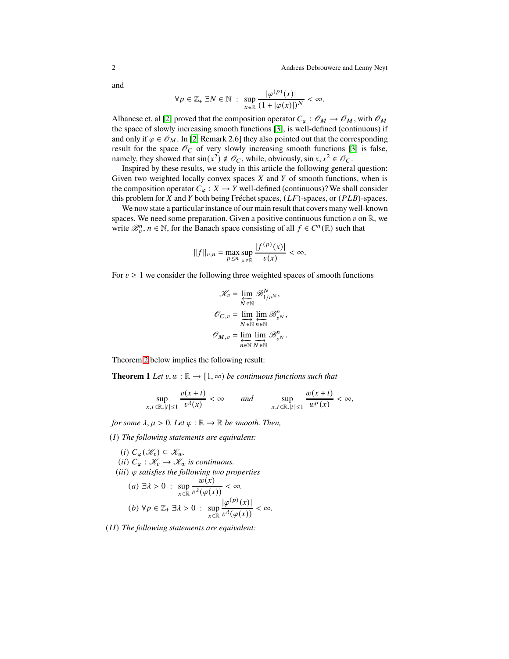2 Andreas Debrouwere and Lenny Neyt

and

$$
\forall p \in \mathbb{Z}_+ \, \exists N \in \mathbb{N} \, : \, \sup_{x \in \mathbb{R}} \frac{|\varphi^{(p)}(x)|}{(1+|\varphi(x)|)^N} < \infty.
$$

Albanese et. al [\[2\]](#page-8-1) proved that the composition operator  $C_{\varphi}: \mathscr{O}_M \to \mathscr{O}_M$ , with  $\mathscr{O}_M$ the space of slowly increasing smooth functions [\[3\]](#page-8-2), is well-defined (continuous) if and only if  $\varphi \in \mathcal{O}_M$ . In [\[2,](#page-8-1) Remark 2.6] they also pointed out that the corresponding result for the space  $\mathcal{O}_C$  of very slowly increasing smooth functions [\[3\]](#page-8-2) is false, namely, they showed that  $sin(x^2) \notin \mathcal{O}_C$ , while, obviously,  $sin x, x^2 \in \mathcal{O}_C$ .

Inspired by these results, we study in this article the following general question: Given two weighted locally convex spaces  $X$  and  $Y$  of smooth functions, when is the composition operator  $C_{\varphi}: X \to Y$  well-defined (continuous)? We shall consider this problem for  $X$  and  $Y$  both being Fréchet spaces,  $(LF)$ -spaces, or  $(PLB)$ -spaces.

We now state a particular instance of our main result that covers many well-known spaces. We need some preparation. Given a positive continuous function  $v$  on  $\mathbb{R}$ , we write  $\mathcal{B}_v^n$ ,  $n \in \mathbb{N}$ , for the Banach space consisting of all  $f \in C^n(\mathbb{R})$  such that

$$
||f||_{v,n} = \max_{p \le n} \sup_{x \in \mathbb{R}} \frac{|f^{(p)}(x)|}{v(x)} < \infty.
$$

For  $v \geq 1$  we consider the following three weighted spaces of smooth functions

$$
\mathcal{K}_v = \varprojlim_{N \in \mathbb{N}} \mathcal{B}_{1/v^N}^N,
$$

$$
\mathcal{O}_{C,v} = \varinjlim_{N \in \mathbb{N}} \varprojlim_{n \in \mathbb{N}} \mathcal{B}_{v^N}^n,
$$

$$
\mathcal{O}_{M,v} = \varprojlim_{n \in \mathbb{N}} \varinjlim_{N \in \mathbb{N}} \mathcal{B}_{v^N}^n.
$$

<span id="page-1-0"></span>Theorem [2](#page-3-0) below implies the following result:

**Theorem 1** *Let*  $v, w : \mathbb{R} \to [1, \infty)$  *be continuous functions such that* 

$$
\sup_{x,t\in\mathbb{R},|t|\leq 1}\frac{v(x+t)}{v^{\lambda}(x)}<\infty \quad and \quad \sup_{x,t\in\mathbb{R},|t|\leq 1}\frac{w(x+t)}{w^{\mu}(x)}<\infty,
$$

*for some*  $\lambda, \mu > 0$ *. Let*  $\varphi : \mathbb{R} \to \mathbb{R}$  *be smooth. Then,* 

(𝐼) *The following statements are equivalent:*

\n- (i) 
$$
C_{\varphi}(\mathcal{K}_v) \subseteq \mathcal{K}_w
$$
.
\n- (ii)  $C_{\varphi} : \mathcal{K}_v \to \mathcal{K}_w$  is continuous.
\n- (iii)  $\varphi$  satisfies the following two properties:\n
	\n- (a)  $\exists \lambda > 0 : \sup_{x \in \mathbb{R}} \frac{w(x)}{v^{\lambda}(\varphi(x))} < \infty$ .
	\n- (b)  $\forall p \in \mathbb{Z}_+ \exists \lambda > 0 : \sup_{x \in \mathbb{R}} \frac{|\varphi^{(p)}(x)|}{v^{\lambda}(\varphi(x))} < \infty$ .
	\n\n
\n

(II) The following statements are equivalent: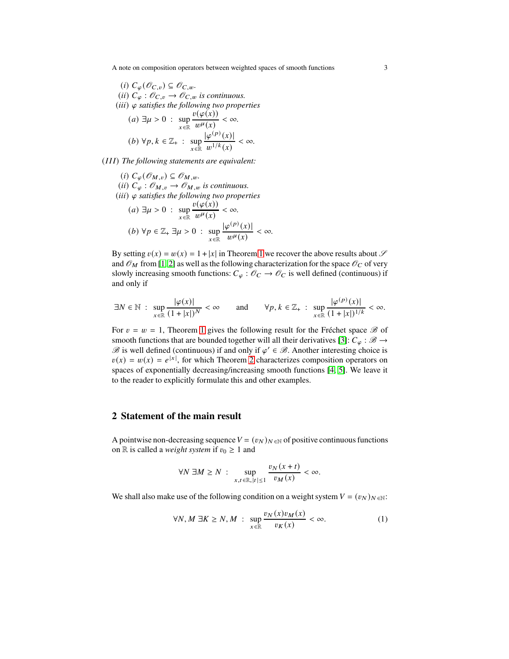A note on composition operators between weighted spaces of smooth functions 3

\n- (i) 
$$
C_{\varphi}(\mathcal{O}_{C,v}) \subseteq \mathcal{O}_{C,w}
$$
.
\n- (ii)  $C_{\varphi} : \mathcal{O}_{C,v} \to \mathcal{O}_{C,w}$  is continuous.
\n- (iii)  $\varphi$  satisfies the following two properties:\n
	\n- (a)  $\exists \mu > 0$  :  $\sup_{x \in \mathbb{R}} \frac{v(\varphi(x))}{w^{\mu}(x)} < \infty$ .
	\n- (b)  $\forall p, k \in \mathbb{Z}_{+}$  :  $\sup_{x \in \mathbb{R}} \frac{|\varphi^{(p)}(x)|}{w^{1/k}(x)} < \infty$ .
	\n\n
\n

(III) The following statements are equivalent:

\n- (i) 
$$
C_{\varphi}(\mathcal{O}_{M,v}) \subseteq \mathcal{O}_{M,w}
$$
.
\n- (ii)  $C_{\varphi} : \mathcal{O}_{M,v} \to \mathcal{O}_{M,w}$  is continuous.
\n- (iii)  $\varphi$  satisfies the following two properties:\n
	\n- (a)  $\exists \mu > 0 : \sup_{x \in \mathbb{R}} \frac{v(\varphi(x))}{w^{\mu}(x)} < \infty$ .
	\n- (b)  $\forall p \in \mathbb{Z}_+ \exists \mu > 0 : \sup_{x \in \mathbb{R}} \frac{|\varphi(p)(x)|}{w^{\mu}(x)} < \infty$ .
	\n\n
\n

By setting  $v(x) = w(x) = 1 + |x|$  $v(x) = w(x) = 1 + |x|$  $v(x) = w(x) = 1 + |x|$  in Theorem 1 we recover the above results about  $\mathscr S$ and  $\mathcal{O}_M$  from [\[1,](#page-8-0) [2\]](#page-8-1) as well as the following characterization for the space  $\mathcal{O}_C$  of very slowly increasing smooth functions:  $C_{\varphi}$  :  $\mathcal{O}_C \to \mathcal{O}_C$  is well defined (continuous) if and only if

$$
\exists N \in \mathbb{N} \; : \; \sup_{x \in \mathbb{R}} \frac{|\varphi(x)|}{(1+|x|)^N} < \infty \qquad \text{and} \qquad \forall p, k \in \mathbb{Z}_+ \; : \; \sup_{x \in \mathbb{R}} \frac{|\varphi^{(p)}(x)|}{(1+|x|)^{1/k}} < \infty.
$$

For  $v = w = 1$  $v = w = 1$ , Theorem 1 gives the following result for the Fréchet space  $\mathcal{B}$  of smooth functions that are bounded together will all their derivatives [\[3\]](#page-8-2):  $C_{\varphi}$  :  $\mathscr{B} \rightarrow$  $\mathscr B$  is well defined (continuous) if and only if  $\varphi' \in \mathscr B$ . Another interesting choice is  $v(x) = w(x) = e^{|x|}$ , for which Theorem [2](#page-3-0) characterizes composition operators on spaces of exponentially decreasing/increasing smooth functions [\[4,](#page-8-3) [5\]](#page-8-4). We leave it to the reader to explicitly formulate this and other examples.

### **2 Statement of the main result**

A pointwise non-decreasing sequence  $V = (v_N)_{N \in \mathbb{N}}$  of positive continuous functions on R is called a *weight system* if  $v_0 \geq 1$  and

$$
\forall N \; \exists M \ge N \; : \; \sup_{x,t \in \mathbb{R}, |t| \le 1} \frac{v_N(x+t)}{v_M(x)} < \infty.
$$

We shall also make use of the following condition on a weight system  $V = (v_N)_{N \in \mathbb{N}}$ :

<span id="page-2-0"></span>
$$
\forall N, M \ \exists K \ge N, M \ : \ \sup_{x \in \mathbb{R}} \frac{v_N(x)v_M(x)}{v_K(x)} < \infty. \tag{1}
$$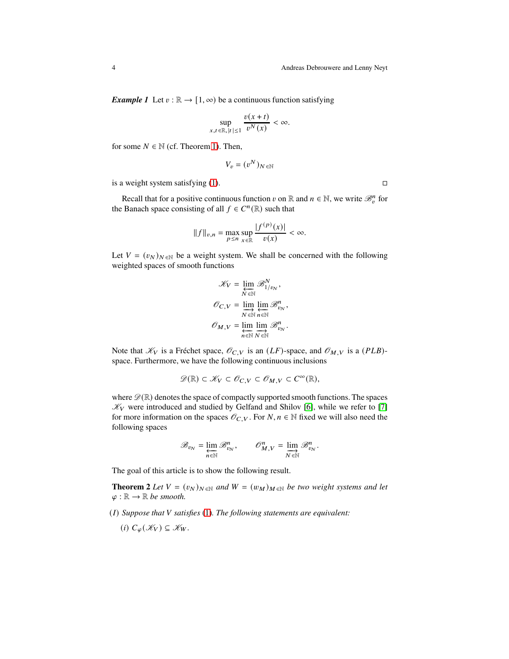<span id="page-3-1"></span>*Example 1* Let  $v : \mathbb{R} \to [1, \infty)$  be a continuous function satisfying

$$
\sup_{x,t \in \mathbb{R}, |t| \le 1} \frac{v(x+t)}{v^N(x)} < \infty.
$$

for some  $N \in \mathbb{N}$  (cf. Theorem [1\)](#page-1-0). Then,

$$
V_v = (v^N)_{N \in \mathbb{N}}
$$

is a weight system satisfying [\(1\)](#page-2-0).  $\Box$ 

Recall that for a positive continuous function v on R and  $n \in \mathbb{N}$ , we write  $\mathcal{B}_v^n$  for the Banach space consisting of all  $f \in C^n(\mathbb{R})$  such that

$$
||f||_{v,n} = \max_{p \le n} \sup_{x \in \mathbb{R}} \frac{|f^{(p)}(x)|}{v(x)} < \infty.
$$

Let  $V = (v_N)_{N \in \mathbb{N}}$  be a weight system. We shall be concerned with the following weighted spaces of smooth functions

$$
\mathcal{K}_V = \varprojlim_{N \in \mathbb{N}} \mathcal{B}_{1/v_N}^N,
$$

$$
\mathcal{O}_{C,V} = \varinjlim_{N \in \mathbb{N}} \varprojlim_{n \in \mathbb{N}} \mathcal{B}_{v_N}^n,
$$

$$
\mathcal{O}_{M,V} = \varprojlim_{n \in \mathbb{N}} \varinjlim_{N \in \mathbb{N}} \mathcal{B}_{v_N}^n.
$$

Note that  $\mathcal{K}_V$  is a Fréchet space,  $\mathcal{O}_{C,V}$  is an  $(LF)$ -space, and  $\mathcal{O}_{M,V}$  is a (PLB)space. Furthermore, we have the following continuous inclusions

$$
\mathscr{D}(\mathbb{R}) \subset \mathscr{K}_V \subset \mathscr{O}_{C,V} \subset \mathscr{O}_{M,V} \subset C^{\infty}(\mathbb{R}),
$$

where  $\mathscr{D}(\mathbb{R})$  denotes the space of compactly supported smooth functions. The spaces  $\mathcal{K}_V$  were introduced and studied by Gelfand and Shilov [\[6\]](#page-8-5), while we refer to [\[7\]](#page-8-6) for more information on the spaces  $\mathcal{O}_{C,V}$ . For  $N, n \in \mathbb{N}$  fixed we will also need the following spaces

$$
\mathscr{B}_{v_N} = \varprojlim_{n \in \mathbb{N}} \mathscr{B}_{v_N}^n, \qquad \mathscr{O}_{M,V}^n = \varinjlim_{N \in \mathbb{N}} \mathscr{B}_{v_N}^n.
$$

<span id="page-3-0"></span>The goal of this article is to show the following result.

**Theorem 2** *Let*  $V = (v_N)_{N \in \mathbb{N}}$  *and*  $W = (w_M)_{M \in \mathbb{N}}$  *be two weight systems and let*  $\varphi : \mathbb{R} \to \mathbb{R}$  be smooth.

- (𝐼) *Suppose that* 𝑉 *satisfies* [\(1\)](#page-2-0)*. The following statements are equivalent:*
	- (*i*)  $C_{\varphi}(\mathscr{K}_V) \subseteq \mathscr{K}_W$ .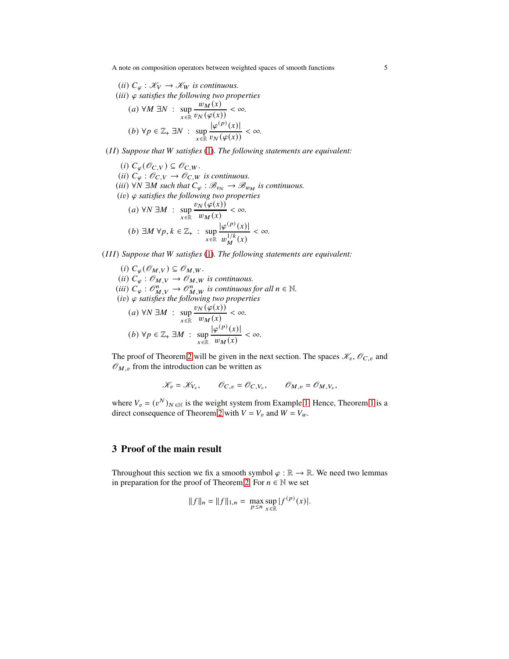A note on composition operators between weighted spaces of smooth functions 5

\n- (ii) 
$$
C_{\varphi} : \mathcal{K}_V \to \mathcal{K}_W
$$
 is continuous.
\n- (iii)  $\varphi$  satisfies the following two properties
\n- (a)  $\forall M \exists N : \sup_{x \in \mathbb{R}} \frac{w_M(x)}{v_N(\varphi(x))} < \infty$ .
\n- (b)  $\forall p \in \mathbb{Z}_+ \exists N : \sup_{x \in \mathbb{R}} \frac{|\varphi^{(p)}(x)|}{v_N(\varphi(x))} < \infty$ .
\n

(𝐼 𝐼) *Suppose that* 𝑊 *satisfies* [\(1\)](#page-2-0)*. The following statements are equivalent:*

(*i*)  $C_{\varphi}(\mathscr{O}_{C,V}) \subseteq \mathscr{O}_{C,W}.$ (*ii*)  $C_{\varphi}: \mathscr{O}_{C,V} \to \mathscr{O}_{C,W}$  *is continuous.* (*iii*)  $\forall N \exists M$  such that  $C_{\varphi}: \mathcal{B}_{v_N} \to \mathcal{B}_{w_M}$  is continuous.  $(iv)$   $\varphi$  satisfies the following two properties  $(a) \forall N \exists M$  : sup<br> $x \in \mathbb{R}$  $v_N(\varphi(x))$  $\frac{w \left(\varphi(x)\right)}{w_M(x)} < \infty.$ (*b*) ∃*M* ∀*p*,  $k \in \mathbb{Z}_+$  : sup  $x \in \mathbb{R}$  $|\varphi^{(p)}(x)|$  $w_M^{1/k}$  $M^{1/K}(x)$ < ∞*.*

(𝐼 𝐼 𝐼) *Suppose that* 𝑊 *satisfies* [\(1\)](#page-2-0)*. The following statements are equivalent:*

(i) 
$$
C_{\varphi}(\mathcal{O}_{M,V}) \subseteq \mathcal{O}_{M,W}
$$
.  
\n(ii)  $C_{\varphi} : \mathcal{O}_{M,V} \to \mathcal{O}_{M,W}$  is continuous.  
\n(iii)  $C_{\varphi} : \mathcal{O}_{M,V}^{n} \to \mathcal{O}_{M,W}^{n}$  is continuous for all  $n \in \mathbb{N}$ .  
\n(iv)  $\varphi$  satisfies the following two properties  
\n(a)  $\forall N \exists M : \sup_{x \in \mathbb{R}} \frac{v_N(\varphi(x))}{w_M(x)} < \infty$ .  
\n(b)  $\forall p \in \mathbb{Z}_+ \exists M : \sup_{x \in \mathbb{R}} \frac{|\varphi^{(p)}(x)|}{w_M(x)} < \infty$ .

The proof of Theorem [2](#page-3-0) will be given in the next section. The spaces  $\mathcal{K}_v$ ,  $\mathcal{O}_{C,v}$  and  $\mathcal{O}_{M,\nu}$  from the introduction can be written as

$$
\mathcal{K}_v = \mathcal{K}_{V_v}, \qquad \mathcal{O}_{C,v} = \mathcal{O}_{C,V_v}, \qquad \mathcal{O}_{M,v} = \mathcal{O}_{M,V_v},
$$

where  $V_v = (v^N)_{N \in \mathbb{N}}$  is the weight system from Example [1.](#page-3-1) Hence, Theorem [1](#page-1-0) is a direct consequence of Theorem [2](#page-3-0) with  $V = V_v$  and  $W = V_w$ .

## **3 Proof of the main result**

<span id="page-4-0"></span>Throughout this section we fix a smooth symbol  $\varphi : \mathbb{R} \to \mathbb{R}$ . We need two lemmas in preparation for the proof of Theorem [2.](#page-3-0) For  $n \in \mathbb{N}$  we set

$$
||f||_n = ||f||_{1,n} = \max_{p \le n} \sup_{x \in \mathbb{R}} |f^{(p)}(x)|.
$$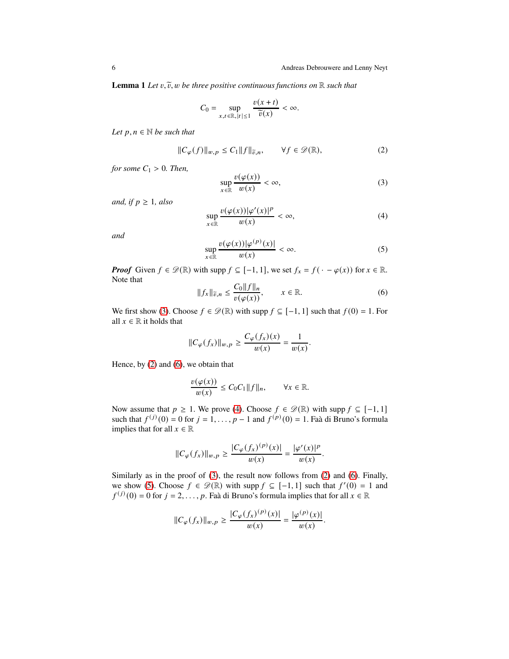**Lemma 1** *Let*  $v, \tilde{v}$ ,  $w$  *be three positive continuous functions on*  $\mathbb{R}$  *such that* 

$$
C_0 = \sup_{x,t \in \mathbb{R}, |t| \le 1} \frac{v(x+t)}{\widetilde{v}(x)} < \infty.
$$

*Let*  $p, n \in \mathbb{N}$  *be such that* 

<span id="page-5-1"></span>
$$
||C_{\varphi}(f)||_{w,p} \le C_1 ||f||_{\widetilde{v},n}, \qquad \forall f \in \mathscr{D}(\mathbb{R}),
$$
 (2)

*for some*  $C_1 > 0$ *. Then,* 

<span id="page-5-0"></span>
$$
\sup_{x \in \mathbb{R}} \frac{v(\varphi(x))}{w(x)} < \infty,\tag{3}
$$

*and, if*  $p \geq 1$ *, also* 

<span id="page-5-3"></span>
$$
\sup_{x \in \mathbb{R}} \frac{v(\varphi(x))|\varphi'(x)|^p}{w(x)} < \infty,\tag{4}
$$

*and*

<span id="page-5-4"></span>
$$
\sup_{x \in \mathbb{R}} \frac{v(\varphi(x))|\varphi^{(p)}(x)|}{w(x)} < \infty. \tag{5}
$$

*Proof* Given  $f \in \mathcal{D}(\mathbb{R})$  with supp  $f \subseteq [-1, 1]$ , we set  $f_x = f(\cdot - \varphi(x))$  for  $x \in \mathbb{R}$ . Note that  $\overline{0}$ 

<span id="page-5-2"></span>
$$
||f_x||_{\widetilde{v},n} \le \frac{C_0 ||f||_n}{v(\varphi(x))}, \qquad x \in \mathbb{R}.
$$
 (6)

We first show [\(3\)](#page-5-0). Choose  $f \in \mathcal{D}(\mathbb{R})$  with supp  $f \subseteq [-1, 1]$  such that  $f(0) = 1$ . For all  $x \in \mathbb{R}$  it holds that

$$
||C_{\varphi}(f_x)||_{w,p} \ge \frac{C_{\varphi}(f_x)(x)}{w(x)} = \frac{1}{w(x)}.
$$

Hence, by [\(2\)](#page-5-1) and [\(6\)](#page-5-2), we obtain that

$$
\frac{v(\varphi(x))}{w(x)} \leq C_0 C_1 \|f\|_n, \qquad \forall x \in \mathbb{R}.
$$

Now assume that  $p \ge 1$ . We prove [\(4\)](#page-5-3). Choose  $f \in \mathcal{D}(\mathbb{R})$  with supp  $f \subseteq [-1, 1]$ such that  $f^{(j)}(0) = 0$  for  $j = 1, ..., p - 1$  and  $f^{(p)}(0) = 1$ . Faà di Bruno's formula implies that for all  $x \in \mathbb{R}$ 

$$
||C_{\varphi}(f_x)||_{w,p} \ge \frac{|C_{\varphi}(f_x)^{(p)}(x)|}{w(x)} = \frac{|\varphi'(x)|^p}{w(x)}.
$$

Similarly as in the proof of [\(3\)](#page-5-0), the result now follows from [\(2\)](#page-5-1) and [\(6\)](#page-5-2). Finally, we show [\(5\)](#page-5-4). Choose  $f \in \mathcal{D}(\mathbb{R})$  with supp  $f \subseteq [-1, 1]$  such that  $f'(0) = 1$  and  $f^{(j)}(0) = 0$  for  $j = 2, ..., p$ . Faà di Bruno's formula implies that for all  $x \in \mathbb{R}$ 

$$
||C_{\varphi}(f_x)||_{w,p} \ge \frac{|C_{\varphi}(f_x)^{(p)}(x)|}{w(x)} = \frac{|\varphi^{(p)}(x)|}{w(x)}.
$$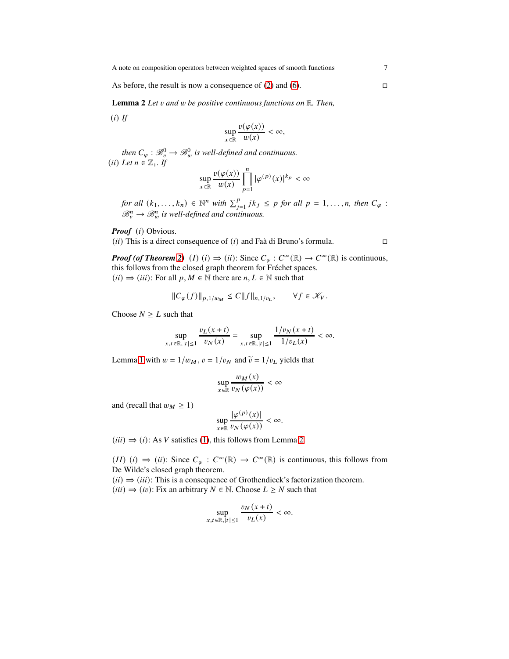<span id="page-6-0"></span>As before, the result is now a consequence of [\(2\)](#page-5-1) and [\(6\)](#page-5-2).  $\Box$ 

**Lemma 2** *Let v and w be positive continuous functions on*  $\mathbb{R}$ *. Then,* 

 $(i)$  *If* 

$$
\sup_{x \in \mathbb{R}} \frac{v(\varphi(x))}{w(x)} < \infty,
$$

then  $C_{\varphi} : \mathscr B_v^0 \to \mathscr B_w^0$  is well-defined and continuous.  $(ii)$  *Let*  $n \in \mathbb{Z}_+$ *. If* 

$$
\sup_{x\in\mathbb{R}}\frac{v(\varphi(x))}{w(x)}\prod_{p=1}^n|\varphi^{(p)}(x)|^{k_p}<\infty
$$

*for all*  $(k_1, ..., k_n) \in \mathbb{N}^n$  *with*  $\sum_{j=1}^p j k_j \leq p$  *for all*  $p = 1, ..., n$ *, then*  $C_\varphi$ :  $\mathscr{B}_{v}^{n} \to \mathscr{B}_{w}^{n}$  is well-defined and continuous.

Proof (i) Obvious.

(*ii*) This is a direct consequence of (*i*) and Faà di Bruno's formula.

*Proof (of Theorem [2\)](#page-3-0)* (*I*) (*i*)  $\Rightarrow$  (*ii*): Since  $C_{\varphi}: C^{\infty}(\mathbb{R}) \to C^{\infty}(\mathbb{R})$  is continuous, this follows from the closed graph theorem for Fréchet spaces.  $(ii) \Rightarrow (iii)$ : For all  $p, M \in \mathbb{N}$  there are  $n, L \in \mathbb{N}$  such that

$$
||C_{\varphi}(f)||_{p,1/w_M} \leq C||f||_{n,1/v_L}, \qquad \forall f \in \mathcal{K}_V.
$$

Choose  $N \geq L$  such that

$$
\sup_{x,t \in \mathbb{R}, |t| \le 1} \frac{v_L(x+t)}{v_N(x)} = \sup_{x,t \in \mathbb{R}, |t| \le 1} \frac{1/v_N(x+t)}{1/v_L(x)} < \infty.
$$

Lemma [1](#page-4-0) with  $w = 1/w_M$ ,  $v = 1/v_N$  and  $\tilde{v} = 1/v_L$  yields that

$$
\sup_{x \in \mathbb{R}} \frac{w_M(x)}{v_N(\varphi(x))} < \infty
$$

and (recall that  $w_M \geq 1$ )

$$
\sup_{x \in \mathbb{R}} \frac{|\varphi^{(p)}(x)|}{v_N(\varphi(x))} < \infty.
$$

 $(iii) \Rightarrow (i)$ : As *V* satisfies [\(1\)](#page-2-0), this follows from Lemma [2.](#page-6-0)

 $(II)$   $(i) \Rightarrow (ii)$ : Since  $C_{\varphi}: C^{\infty}(\mathbb{R}) \rightarrow C^{\infty}(\mathbb{R})$  is continuous, this follows from De Wilde's closed graph theorem.

 $(ii) \Rightarrow (iii)$ : This is a consequence of Grothendieck's factorization theorem.  $(iii) \Rightarrow (iv)$ : Fix an arbitrary  $N \in \mathbb{N}$ . Choose  $L \geq N$  such that

$$
\sup_{x,t \in \mathbb{R}, |t| \le 1} \frac{v_N(x+t)}{v_L(x)} < \infty.
$$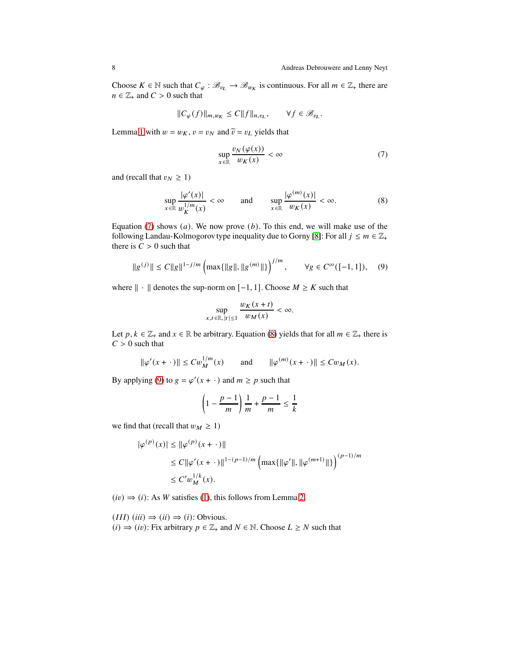Choose  $K \in \mathbb{N}$  such that  $C_{\varphi}: \mathscr{B}_{v_L} \to \mathscr{B}_{w_K}$  is continuous. For all  $m \in \mathbb{Z}_+$  there are  $n \in \mathbb{Z}_+$  and  $C > 0$  such that

$$
||C_{\varphi}(f)||_{m,w_K} \leq C||f||_{n,v_L}, \qquad \forall f \in \mathcal{B}_{v_L}.
$$

Lemma [1](#page-4-0) with  $w = w_K$ ,  $v = v_N$  and  $\tilde{v} = v_L$  yields that

<span id="page-7-0"></span>
$$
\sup_{x \in \mathbb{R}} \frac{v_N(\varphi(x))}{w_K(x)} < \infty \tag{7}
$$

and (recall that  $v_N \geq 1$ )

<span id="page-7-1"></span>
$$
\sup_{x \in \mathbb{R}} \frac{|\varphi'(x)|}{w_K^{1/m}(x)} < \infty \qquad \text{and} \qquad \sup_{x \in \mathbb{R}} \frac{|\varphi^{(m)}(x)|}{w_K(x)} < \infty. \tag{8}
$$

Equation [\(7\)](#page-7-0) shows  $(a)$ . We now prove  $(b)$ . To this end, we will make use of the following Landau-Kolmogorov type inequality due to Gorny [\[8\]](#page-8-7): For all  $j \le m \in \mathbb{Z}_+$ there is  $C > 0$  such that

<span id="page-7-2"></span>
$$
||g^{(j)}|| \le C||g||^{1-j/m} \left( \max\{||g||, ||g^{(m)}||\} \right)^{j/m}, \qquad \forall g \in C^{\infty}([-1,1]), \quad (9)
$$

where  $\| \cdot \|$  denotes the sup-norm on [−1, 1]. Choose  $M \ge K$  such that

$$
\sup_{x,t \in \mathbb{R}, |t| \le 1} \frac{w_K(x+t)}{w_M(x)} < \infty.
$$

Let  $p, k \in \mathbb{Z}_+$  and  $x \in \mathbb{R}$  be arbitrary. Equation [\(8\)](#page-7-1) yields that for all  $m \in \mathbb{Z}_+$  there is  $C > 0$  such that

$$
\|\varphi'(x+\cdot)\| \le C w_M^{1/m}(x)
$$
 and  $\|\varphi^{(m)}(x+\cdot)\| \le C w_M(x)$ .

By applying [\(9\)](#page-7-2) to  $g = \varphi'(x + \cdot)$  and  $m \ge p$  such that

$$
\left(1 - \frac{p-1}{m}\right)\frac{1}{m} + \frac{p-1}{m} \le \frac{1}{k}
$$

we find that (recall that  $w_M \geq 1$ )

$$
\begin{aligned} |\varphi^{(p)}(x)| & \leq \|\varphi^{(p)}(x+\,\cdot\,)\| \\ & \leq C\|\varphi'(x+\,\cdot\,)\|^{1-(p-1)/m}\left(\max\{\|\varphi'\|,\|\varphi^{(m+1)}\|\}\right)^{(p-1)/m} \\ & \leq C'w^{1/k}_M(x). \end{aligned}
$$

 $(iv) \Rightarrow (i)$ : As W satisfies [\(1\)](#page-2-0), this follows from Lemma [2.](#page-6-0)

 $(III)$  (*iii*)  $\Rightarrow$  (*ii*)  $\Rightarrow$  (*i*): Obvious.  $(i) \Rightarrow (iv)$ : Fix arbitrary  $p \in \mathbb{Z}_+$  and  $N \in \mathbb{N}$ . Choose  $L \geq N$  such that